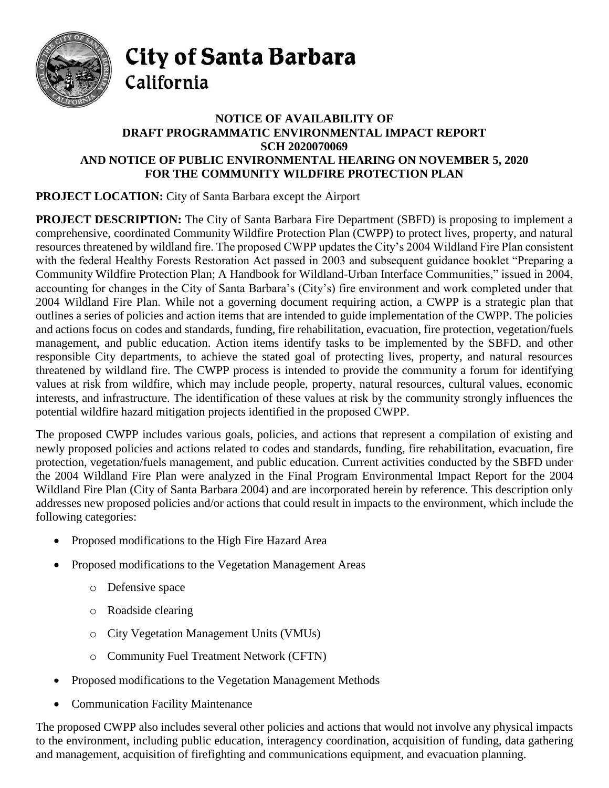

City of Santa Barbara California

## **NOTICE OF AVAILABILITY OF DRAFT PROGRAMMATIC ENVIRONMENTAL IMPACT REPORT SCH 2020070069 AND NOTICE OF PUBLIC ENVIRONMENTAL HEARING ON NOVEMBER 5, 2020 FOR THE COMMUNITY WILDFIRE PROTECTION PLAN**

## **PROJECT LOCATION:** City of Santa Barbara except the Airport

**PROJECT DESCRIPTION:** The City of Santa Barbara Fire Department (SBFD) is proposing to implement a comprehensive, coordinated Community Wildfire Protection Plan (CWPP) to protect lives, property, and natural resources threatened by wildland fire. The proposed CWPP updates the City's 2004 Wildland Fire Plan consistent with the federal Healthy Forests Restoration Act passed in 2003 and subsequent guidance booklet "Preparing a Community Wildfire Protection Plan; A Handbook for Wildland-Urban Interface Communities," issued in 2004, accounting for changes in the City of Santa Barbara's (City's) fire environment and work completed under that 2004 Wildland Fire Plan. While not a governing document requiring action, a CWPP is a strategic plan that outlines a series of policies and action items that are intended to guide implementation of the CWPP. The policies and actions focus on codes and standards, funding, fire rehabilitation, evacuation, fire protection, vegetation/fuels management, and public education. Action items identify tasks to be implemented by the SBFD, and other responsible City departments, to achieve the stated goal of protecting lives, property, and natural resources threatened by wildland fire. The CWPP process is intended to provide the community a forum for identifying values at risk from wildfire, which may include people, property, natural resources, cultural values, economic interests, and infrastructure. The identification of these values at risk by the community strongly influences the potential wildfire hazard mitigation projects identified in the proposed CWPP.

The proposed CWPP includes various goals, policies, and actions that represent a compilation of existing and newly proposed policies and actions related to codes and standards, funding, fire rehabilitation, evacuation, fire protection, vegetation/fuels management, and public education. Current activities conducted by the SBFD under the 2004 Wildland Fire Plan were analyzed in the Final Program Environmental Impact Report for the 2004 Wildland Fire Plan (City of Santa Barbara 2004) and are incorporated herein by reference. This description only addresses new proposed policies and/or actions that could result in impacts to the environment, which include the following categories:

- Proposed modifications to the High Fire Hazard Area
- Proposed modifications to the Vegetation Management Areas
	- o Defensive space
	- o Roadside clearing
	- o City Vegetation Management Units (VMUs)
	- o Community Fuel Treatment Network (CFTN)
- Proposed modifications to the Vegetation Management Methods
- Communication Facility Maintenance

The proposed CWPP also includes several other policies and actions that would not involve any physical impacts to the environment, including public education, interagency coordination, acquisition of funding, data gathering and management, acquisition of firefighting and communications equipment, and evacuation planning.